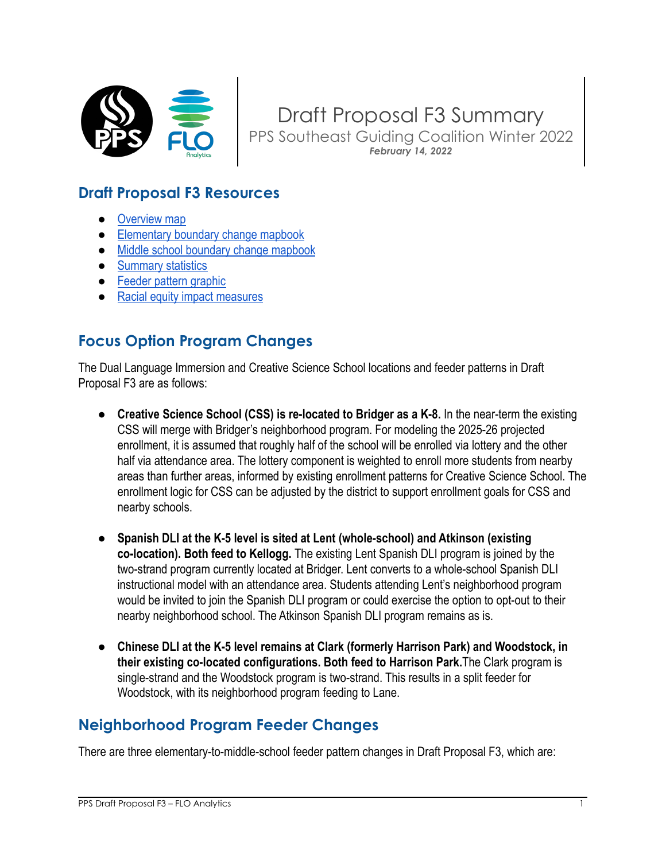

Draft Proposal F3 Summary PPS Southeast Guiding Coalition Winter 2022 *February 14, 2022*

# **Draft Proposal F3 Resources**

- [Overview map](https://drive.google.com/file/d/1nSBLw7OowtgT4MRbw9B-FoFB5YkVX6hb/view?usp=sharing)
- [Elementary boundary change mapbook](https://drive.google.com/file/d/1EM3724iy27brVBQ13cAIMk5_OXulSNm1/view?usp=sharing)
- [Middle school boundary change mapbook](https://drive.google.com/file/d/1HaaHRQikwbuJteAFZV8HlJgINmvrEiKQ/view?usp=sharing)
- [Summary statistics](https://docs.google.com/spreadsheets/d/1XIpGFRPvo7XpO7TGGhLEHLvtUCnXX7fe/edit?usp=sharing&ouid=105608597402617878705&rtpof=true&sd=true)
- [Feeder pattern graphic](https://drive.google.com/file/d/1uuunhEJWFBiIh6Lmx-xl08Errldeaei9/view?usp=sharing)
- [Racial equity impact measures](https://drive.google.com/file/d/1vRr-Bj-KuILx7mFSqJHnCQ3rxO76Nkwu/view?usp=sharing)

## **Focus Option Program Changes**

The Dual Language Immersion and Creative Science School locations and feeder patterns in Draft Proposal F3 are as follows:

- **Creative Science School (CSS) is re-located to Bridger as a K-8.** In the near-term the existing CSS will merge with Bridger's neighborhood program. For modeling the 2025-26 projected enrollment, it is assumed that roughly half of the school will be enrolled via lottery and the other half via attendance area. The lottery component is weighted to enroll more students from nearby areas than further areas, informed by existing enrollment patterns for Creative Science School. The enrollment logic for CSS can be adjusted by the district to support enrollment goals for CSS and nearby schools.
- **Spanish DLI at the K-5 level is sited at Lent (whole-school) and Atkinson (existing co-location). Both feed to Kellogg.** The existing Lent Spanish DLI program is joined by the two-strand program currently located at Bridger. Lent converts to a whole-school Spanish DLI instructional model with an attendance area. Students attending Lent's neighborhood program would be invited to join the Spanish DLI program or could exercise the option to opt-out to their nearby neighborhood school. The Atkinson Spanish DLI program remains as is.
- **Chinese DLI at the K-5 level remains at Clark (formerly Harrison Park) and Woodstock, in their existing co-located configurations. Both feed to Harrison Park.**The Clark program is single-strand and the Woodstock program is two-strand. This results in a split feeder for Woodstock, with its neighborhood program feeding to Lane.

## **Neighborhood Program Feeder Changes**

There are three elementary-to-middle-school feeder pattern changes in Draft Proposal F3, which are: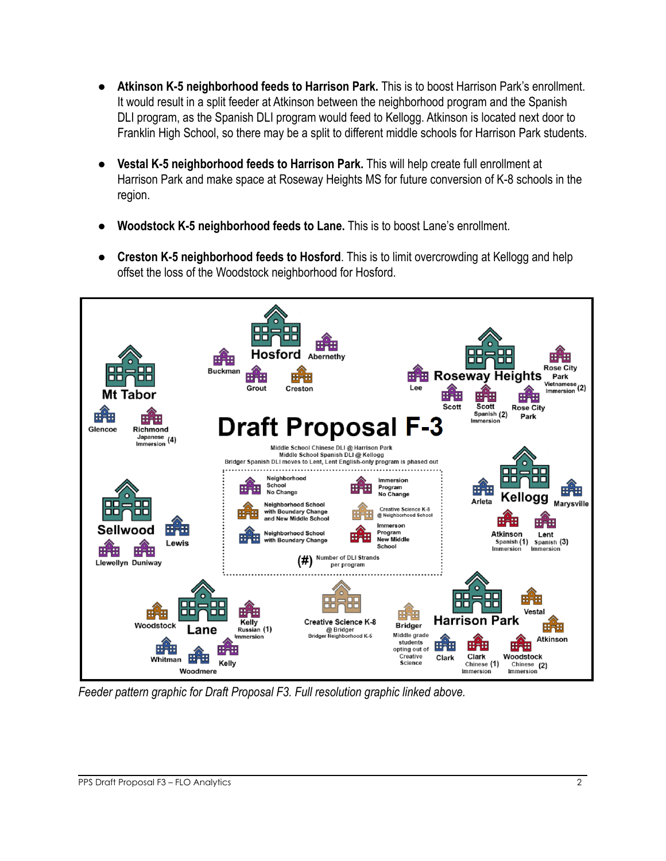- **Atkinson K-5 neighborhood feeds to Harrison Park.** This is to boost Harrison Park's enrollment. It would result in a split feeder at Atkinson between the neighborhood program and the Spanish DLI program, as the Spanish DLI program would feed to Kellogg. Atkinson is located next door to Franklin High School, so there may be a split to different middle schools for Harrison Park students.
- **Vestal K-5 neighborhood feeds to Harrison Park.** This will help create full enrollment at Harrison Park and make space at Roseway Heights MS for future conversion of K-8 schools in the region.
- **Woodstock K-5 neighborhood feeds to Lane.** This is to boost Lane's enrollment.
- **Creston K-5 neighborhood feeds to Hosford**. This is to limit overcrowding at Kellogg and help offset the loss of the Woodstock neighborhood for Hosford.



*Feeder pattern graphic for Draft Proposal F3. Full resolution graphic linked above.*